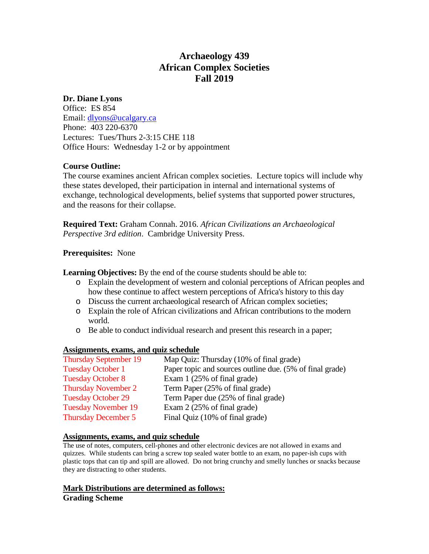# **Archaeology 439 African Complex Societies Fall 2019**

# **Dr. Diane Lyons**

Office: ES 854 Email: [dlyons@ucalgary.ca](mailto:dlyons@ucalgary.ca) Phone: 403 220-6370 Lectures: Tues/Thurs 2-3:15 CHE 118 Office Hours: Wednesday 1-2 or by appointment

# **Course Outline:**

The course examines ancient African complex societies. Lecture topics will include why these states developed, their participation in internal and international systems of exchange, technological developments, belief systems that supported power structures, and the reasons for their collapse.

**Required Text:** Graham Connah. 2016. *African Civilizations an Archaeological Perspective 3rd edition*. Cambridge University Press.

# **Prerequisites:** None

**Learning Objectives:** By the end of the course students should be able to:

- o Explain the development of western and colonial perceptions of African peoples and how these continue to affect western perceptions of Africa's history to this day
- o Discuss the current archaeological research of African complex societies;
- o Explain the role of African civilizations and African contributions to the modern world.
- o Be able to conduct individual research and present this research in a paper;

## **Assignments, exams, and quiz schedule**

| <b>Thursday September 19</b> | Map Quiz: Thursday (10% of final grade)                  |
|------------------------------|----------------------------------------------------------|
| <b>Tuesday October 1</b>     | Paper topic and sources outline due. (5% of final grade) |
| <b>Tuesday October 8</b>     | Exam $1(25\% \text{ of final grade})$                    |
| <b>Thursday November 2</b>   | Term Paper (25% of final grade)                          |
| <b>Tuesday October 29</b>    | Term Paper due (25% of final grade)                      |
| <b>Tuesday November 19</b>   | Exam $2(25\% \text{ of final grade})$                    |
| <b>Thursday December 5</b>   | Final Quiz (10% of final grade)                          |

## **Assignments, exams, and quiz schedule**

The use of notes, computers, cell-phones and other electronic devices are not allowed in exams and quizzes. While students can bring a screw top sealed water bottle to an exam, no paper-ish cups with plastic tops that can tip and spill are allowed. Do not bring crunchy and smelly lunches or snacks because they are distracting to other students.

# **Mark Distributions are determined as follows: Grading Scheme**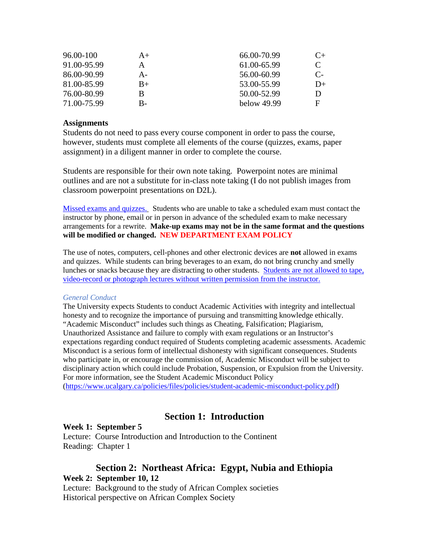| $A+$ | 66.00-70.99 | $C_{\pm}$  |
|------|-------------|------------|
| А    | 61.00-65.99 | C          |
| A-   | 56.00-60.99 | $C_{\tau}$ |
| $B+$ | 53.00-55.99 | $D+$       |
| В    | 50.00-52.99 | D          |
| В-   | below 49.99 | F          |
|      |             |            |

### **Assignments**

Students do not need to pass every course component in order to pass the course, however, students must complete all elements of the course (quizzes, exams, paper assignment) in a diligent manner in order to complete the course.

Students are responsible for their own note taking. Powerpoint notes are minimal outlines and are not a substitute for in-class note taking (I do not publish images from classroom powerpoint presentations on D2L).

Missed exams and quizzes.Students who are unable to take a scheduled exam must contact the instructor by phone, email or in person in advance of the scheduled exam to make necessary arrangements for a rewrite. **Make-up exams may not be in the same format and the questions will be modified or changed. NEW DEPARTMENT EXAM POLICY**

The use of notes, computers, cell-phones and other electronic devices are **not** allowed in exams and quizzes. While students can bring beverages to an exam, do not bring crunchy and smelly lunches or snacks because they are distracting to other students. Students are not allowed to tape, video-record or photograph lectures without written permission from the instructor.

### *General Conduct*

The University expects Students to conduct Academic Activities with integrity and intellectual honesty and to recognize the importance of pursuing and transmitting knowledge ethically. "Academic Misconduct" includes such things as Cheating, Falsification; Plagiarism, Unauthorized Assistance and failure to comply with exam regulations or an Instructor's expectations regarding conduct required of Students completing academic assessments. Academic Misconduct is a serious form of intellectual dishonesty with significant consequences. Students who participate in, or encourage the commission of, Academic Misconduct will be subject to disciplinary action which could include Probation, Suspension, or Expulsion from the University. For more information, see the Student Academic Misconduct Policy [\(https://www.ucalgary.ca/policies/files/policies/student-academic-misconduct-policy.pdf\)](https://www.ucalgary.ca/policies/files/policies/student-academic-misconduct-policy.pdf)

# **Section 1: Introduction**

## **Week 1: September 5**

Lecture: Course Introduction and Introduction to the Continent Reading: Chapter 1

# **Section 2: Northeast Africa: Egypt, Nubia and Ethiopia Week 2: September 10, 12**

Lecture: Background to the study of African Complex societies Historical perspective on African Complex Society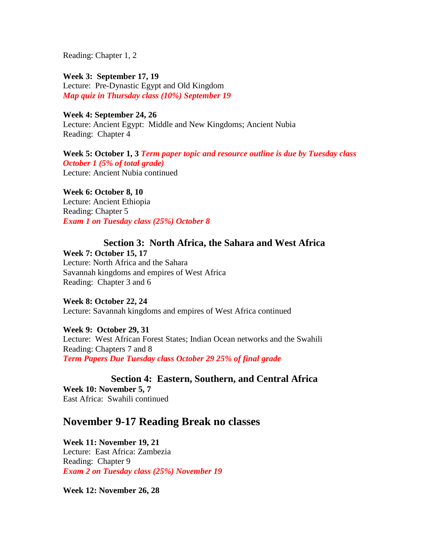Reading: Chapter 1, 2

**Week 3: September 17, 19** Lecture: Pre-Dynastic Egypt and Old Kingdom *Map quiz in Thursday class (10%) September 19*

**Week 4: September 24, 26** Lecture: Ancient Egypt: Middle and New Kingdoms; Ancient Nubia Reading: Chapter 4

**Week 5: October 1, 3** *Term paper topic and resource outline is due by Tuesday class October 1 (5% of total grade)* Lecture: Ancient Nubia continued

**Week 6: October 8, 10**

Lecture: Ancient Ethiopia Reading: Chapter 5 *Exam 1 on Tuesday class (25%) October 8*

# **Section 3: North Africa, the Sahara and West Africa**

**Week 7: October 15, 17** Lecture: North Africa and the Sahara Savannah kingdoms and empires of West Africa Reading: Chapter 3 and 6

**Week 8: October 22, 24** Lecture: Savannah kingdoms and empires of West Africa continued

**Week 9: October 29, 31** Lecture: West African Forest States; Indian Ocean networks and the Swahili Reading: Chapters 7 and 8 *Term Papers Due Tuesday class October 29 25% of final grade*

**Section 4: Eastern, Southern, and Central Africa Week 10: November 5, 7** East Africa: Swahili continued

# **November 9-17 Reading Break no classes**

**Week 11: November 19, 21** Lecture: East Africa: Zambezia Reading: Chapter 9 *Exam 2 on Tuesday class (25%) November 19*

**Week 12: November 26, 28**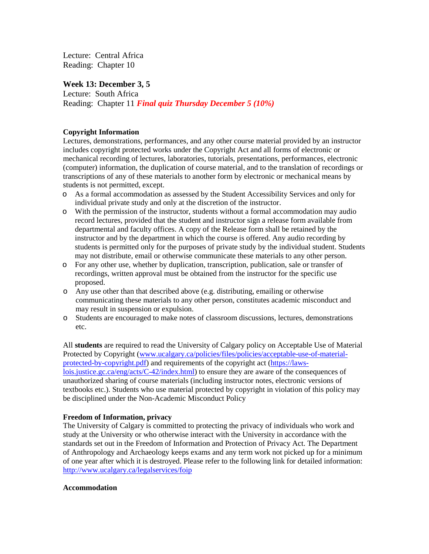Lecture: Central Africa Reading: Chapter 10

### **Week 13: December 3, 5**

Lecture: South Africa Reading: Chapter 11 *Final quiz Thursday December 5 (10%)*

### **Copyright Information**

Lectures, demonstrations, performances, and any other course material provided by an instructor includes copyright protected works under the Copyright Act and all forms of electronic or mechanical recording of lectures, laboratories, tutorials, presentations, performances, electronic (computer) information, the duplication of course material, and to the translation of recordings or transcriptions of any of these materials to another form by electronic or mechanical means by students is not permitted, except.

- o As a formal accommodation as assessed by the Student Accessibility Services and only for individual private study and only at the discretion of the instructor.
- o With the permission of the instructor, students without a formal accommodation may audio record lectures, provided that the student and instructor sign a release form available from departmental and faculty offices. A copy of the Release form shall be retained by the instructor and by the department in which the course is offered. Any audio recording by students is permitted only for the purposes of private study by the individual student. Students may not distribute, email or otherwise communicate these materials to any other person.
- o For any other use, whether by duplication, transcription, publication, sale or transfer of recordings, written approval must be obtained from the instructor for the specific use proposed.
- o Any use other than that described above (e.g. distributing, emailing or otherwise communicating these materials to any other person, constitutes academic misconduct and may result in suspension or expulsion.
- o Students are encouraged to make notes of classroom discussions, lectures, demonstrations etc.

All **students** are required to read the University of Calgary policy on Acceptable Use of Material Protected by Copyright [\(www.ucalgary.ca/policies/files/policies/acceptable-use-of-material](http://www.ucalgary.ca/policies/files/policies/acceptable-use-of-material-protected-by-copyright.pdf)[protected-by-copyright.pdf\)](http://www.ucalgary.ca/policies/files/policies/acceptable-use-of-material-protected-by-copyright.pdf) and requirements of the copyright act [\(https://laws](https://laws-lois.justice.gc.ca/eng/acts/C-42/index.html)[lois.justice.gc.ca/eng/acts/C-42/index.html\)](https://laws-lois.justice.gc.ca/eng/acts/C-42/index.html) to ensure they are aware of the consequences of unauthorized sharing of course materials (including instructor notes, electronic versions of textbooks etc.). Students who use material protected by copyright in violation of this policy may be disciplined under the Non-Academic Misconduct Policy

### **Freedom of Information, privacy**

The University of Calgary is committed to protecting the privacy of individuals who work and study at the University or who otherwise interact with the University in accordance with the standards set out in the Freedom of Information and Protection of Privacy Act. The Department of Anthropology and Archaeology keeps exams and any term work not picked up for a minimum of one year after which it is destroyed. Please refer to the following link for detailed information: <http://www.ucalgary.ca/legalservices/foip>

#### **Accommodation**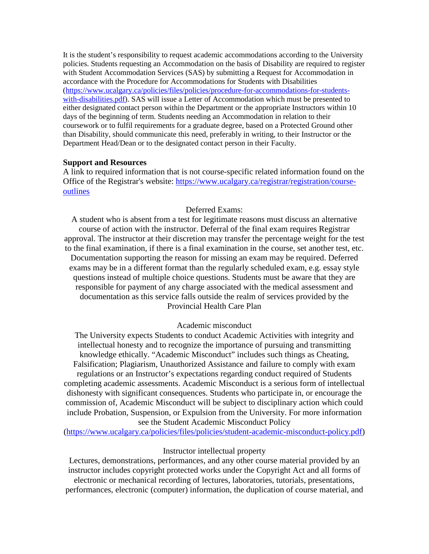It is the student's responsibility to request academic accommodations according to the University policies. Students requesting an Accommodation on the basis of Disability are required to register with Student Accommodation Services (SAS) by submitting a Request for Accommodation in accordance with the Procedure for Accommodations for Students with Disabilities [\(https://www.ucalgary.ca/policies/files/policies/procedure-for-accommodations-for-students](https://www.ucalgary.ca/policies/files/policies/procedure-for-accommodations-for-students-with-disabilities.pdf)[with-disabilities.pdf\)](https://www.ucalgary.ca/policies/files/policies/procedure-for-accommodations-for-students-with-disabilities.pdf). SAS will issue a Letter of Accommodation which must be presented to either designated contact person within the Department or the appropriate Instructors within 10 days of the beginning of term. Students needing an Accommodation in relation to their coursework or to fulfil requirements for a graduate degree, based on a Protected Ground other than Disability, should communicate this need, preferably in writing, to their Instructor or the Department Head/Dean or to the designated contact person in their Faculty.

### **Support and Resources**

A link to required information that is not course-specific related information found on the Office of the Registrar's website: [https://www.ucalgary.ca/registrar/registration/course](https://www.ucalgary.ca/registrar/registration/course-outlines)[outlines](https://www.ucalgary.ca/registrar/registration/course-outlines)

### Deferred Exams:

A student who is absent from a test for legitimate reasons must discuss an alternative course of action with the instructor. Deferral of the final exam requires Registrar approval. The instructor at their discretion may transfer the percentage weight for the test to the final examination, if there is a final examination in the course, set another test, etc. Documentation supporting the reason for missing an exam may be required. Deferred exams may be in a different format than the regularly scheduled exam, e.g. essay style questions instead of multiple choice questions. Students must be aware that they are responsible for payment of any charge associated with the medical assessment and documentation as this service falls outside the realm of services provided by the Provincial Health Care Plan

### Academic misconduct

The University expects Students to conduct Academic Activities with integrity and intellectual honesty and to recognize the importance of pursuing and transmitting knowledge ethically. "Academic Misconduct" includes such things as Cheating, Falsification; Plagiarism, Unauthorized Assistance and failure to comply with exam regulations or an Instructor's expectations regarding conduct required of Students completing academic assessments. Academic Misconduct is a serious form of intellectual dishonesty with significant consequences. Students who participate in, or encourage the commission of, Academic Misconduct will be subject to disciplinary action which could include Probation, Suspension, or Expulsion from the University. For more information see the Student Academic Misconduct Policy

[\(https://www.ucalgary.ca/policies/files/policies/student-academic-misconduct-policy.pdf\)](https://www.ucalgary.ca/policies/files/policies/student-academic-misconduct-policy.pdf)

#### Instructor intellectual property

Lectures, demonstrations, performances, and any other course material provided by an instructor includes copyright protected works under the Copyright Act and all forms of electronic or mechanical recording of lectures, laboratories, tutorials, presentations, performances, electronic (computer) information, the duplication of course material, and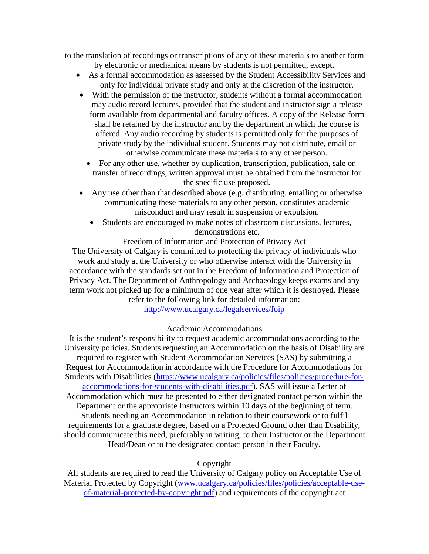to the translation of recordings or transcriptions of any of these materials to another form by electronic or mechanical means by students is not permitted, except.

- As a formal accommodation as assessed by the Student Accessibility Services and only for individual private study and only at the discretion of the instructor.
- With the permission of the instructor, students without a formal accommodation may audio record lectures, provided that the student and instructor sign a release form available from departmental and faculty offices. A copy of the Release form shall be retained by the instructor and by the department in which the course is offered. Any audio recording by students is permitted only for the purposes of private study by the individual student. Students may not distribute, email or otherwise communicate these materials to any other person.
	- For any other use, whether by duplication, transcription, publication, sale or transfer of recordings, written approval must be obtained from the instructor for the specific use proposed.
- Any use other than that described above (e.g. distributing, emailing or otherwise communicating these materials to any other person, constitutes academic misconduct and may result in suspension or expulsion.
	- Students are encouraged to make notes of classroom discussions, lectures, demonstrations etc.

Freedom of Information and Protection of Privacy Act The University of Calgary is committed to protecting the privacy of individuals who work and study at the University or who otherwise interact with the University in accordance with the standards set out in the Freedom of Information and Protection of Privacy Act. The Department of Anthropology and Archaeology keeps exams and any term work not picked up for a minimum of one year after which it is destroyed. Please refer to the following link for detailed information:

<http://www.ucalgary.ca/legalservices/foip>

# Academic Accommodations

It is the student's responsibility to request academic accommodations according to the University policies. Students requesting an Accommodation on the basis of Disability are required to register with Student Accommodation Services (SAS) by submitting a Request for Accommodation in accordance with the Procedure for Accommodations for Students with Disabilities [\(https://www.ucalgary.ca/policies/files/policies/procedure-for](https://www.ucalgary.ca/policies/files/policies/procedure-for-accommodations-for-students-with-disabilities.pdf)[accommodations-for-students-with-disabilities.pdf\)](https://www.ucalgary.ca/policies/files/policies/procedure-for-accommodations-for-students-with-disabilities.pdf). SAS will issue a Letter of Accommodation which must be presented to either designated contact person within the Department or the appropriate Instructors within 10 days of the beginning of term. Students needing an Accommodation in relation to their coursework or to fulfil requirements for a graduate degree, based on a Protected Ground other than Disability, should communicate this need, preferably in writing, to their Instructor or the Department Head/Dean or to the designated contact person in their Faculty.

## Copyright

All students are required to read the University of Calgary policy on Acceptable Use of Material Protected by Copyright [\(www.ucalgary.ca/policies/files/policies/acceptable-use](http://www.ucalgary.ca/policies/files/policies/acceptable-use-of-material-protected-by-copyright.pdf)[of-material-protected-by-copyright.pdf\)](http://www.ucalgary.ca/policies/files/policies/acceptable-use-of-material-protected-by-copyright.pdf) and requirements of the copyright act